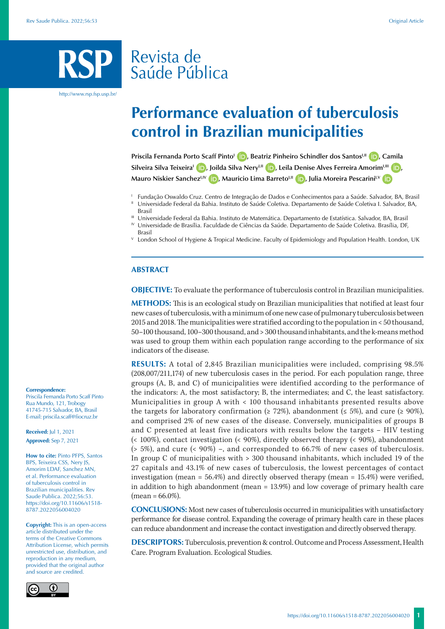# Revista de Saúde Pública

http://www.rsp.fsp.usp.br/

# **Performance evaluation of tuberculosis control in Brazilian municipalities**

**Priscila Fernanda Porto Scaff Pinto<sup>1</sup> <b>D**[,](https://orcid.org/0000-0003-4314-5894) Beatriz Pinheiro Schindler dos Santos<sup>UI</sup> **D**[,](https://orcid.org/0000-0002-7598-4302) Camila Silveira Silva Teixeira<sup>I</sup> **D**[,](https://orcid.org/0000-0001-6340-7957) Joilda Silva Nery<sup>I,II</sup> **D**[,](https://orcid.org/0000-0002-1112-2332) Leila Denise Alves Ferreira Amorim<sup>I,III</sup> **D**, **Mauro Niskier Sanchez<sup>LIV</sup> <b>D**[,](https://orcid.org/0000-0002-0215-4930) Mauricio Lima Barreto<sup>LII</sup> **D**, Julia Moreira Pescarini<sup>I,V</sup> **D** 

- <sup>1</sup> Fundação Oswaldo Cruz. Centro de Integração de Dados e Conhecimentos para a Saúde. Salvador, BA, Brasil<br><sup>II</sup> Universidade Federal da Bahia. Instituto de Saúde Coletiva. Departamento de Saúde Coletiva I. Salvador, BA,
- Brasil<br>III Universidade Federal da Bahia. Instituto de Matemática. Departamento de Estatística. Salvador, BA, Brasil<br>IV Universidade de Brasília. Faculdade de Ciências da Saúde. Departamento de Saúde Coletiva. Brasília, DF
- 
- Brasil
- <sup>V</sup> London School of Hygiene & Tropical Medicine. Faculty of Epidemiology and Population Health. London, UK

## **ABSTRACT**

**OBJECTIVE:** To evaluate the performance of tuberculosis control in Brazilian municipalities.

**METHODS:** This is an ecological study on Brazilian municipalities that notified at least four new cases of tuberculosis, with a minimum of one new case of pulmonary tuberculosis between 2015 and 2018. The municipalities were stratified according to the population in < 50 thousand, 50–100 thousand, 100–300 thousand, and > 300 thousand inhabitants, and the k-means method was used to group them within each population range according to the performance of six indicators of the disease.

**RESULTS:** A total of 2,845 Brazilian municipalities were included, comprising 98.5% (208,007/211,174) of new tuberculosis cases in the period. For each population range, three groups (A, B, and C) of municipalities were identified according to the performance of the indicators: A, the most satisfactory; B, the intermediates; and C, the least satisfactory. Municipalities in group A with < 100 thousand inhabitants presented results above the targets for laboratory confirmation ( $\geq 72\%$ ), abandonment ( $\leq 5\%$ ), and cure ( $\geq 90\%$ ), and comprised 2% of new cases of the disease. Conversely, municipalities of groups B and C presented at least five indicators with results below the targets – HIV testing (< 100%), contact investigation (< 90%), directly observed therapy (< 90%), abandonment (> 5%), and cure (< 90%) –, and corresponded to 66.7% of new cases of tuberculosis. In group C of municipalities with > 300 thousand inhabitants, which included 19 of the 27 capitals and 43.1% of new cases of tuberculosis, the lowest percentages of contact investigation (mean = 56.4%) and directly observed therapy (mean = 15.4%) were verified, in addition to high abandonment (mean = 13.9%) and low coverage of primary health care  $(mean = 66.0\%).$ 

**CONCLUSIONS:** Most new cases of tuberculosis occurred in municipalities with unsatisfactory performance for disease control. Expanding the coverage of primary health care in these places can reduce abandonment and increase the contact investigation and directly observed therapy.

**DESCRIPTORS:** Tuberculosis, prevention & control. Outcome and Process Assessment, Health Care. Program Evaluation. Ecological Studies.

#### **Correspondence:**

Priscila Fernanda Porto Scaff Pinto Rua Mundo, 121, Trobogy 41745-715 Salvador, BA, Brasil E-mail: priscila.scaff@fiocruz.br

**Received:** Jul 1, 2021 **Approved:** Sep 7, 2021

**How to cite:** Pinto PFPS, Santos BPS, Teixeira CSS, Nery JS, Amorim LDAF, Sanchez MN, et al. Performance evaluation of tuberculosis control in Brazilian municipalities. Rev Saude Publica. 2022;56:53. https://doi.org/10.11606/s1518- 8787.2022056004020

**Copyright:** This is an open-access article distributed under the terms of the Creative Commons Attribution License, which permits unrestricted use, distribution, and reproduction in any medium, provided that the original author and source are credited.

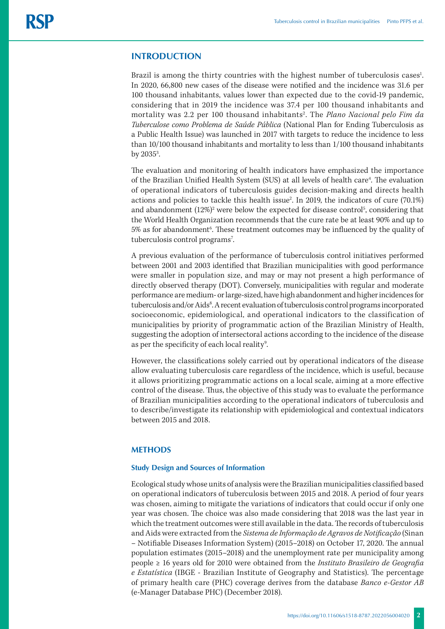# **INTRODUCTION**

Brazil is among the thirty countries with the highest number of tuberculosis cases<sup>1</sup>. In 2020, 66,800 new cases of the disease were notified and the incidence was 31.6 per 100 thousand inhabitants, values lower than expected due to the covid-19 pandemic, considering that in 2019 the incidence was 37.4 per 100 thousand inhabitants and mortality was 2.2 per 100 thousand inhabitants<sup>2</sup>. The *Plano Nacional pelo Fim da Tuberculose como Problema de Saúde Pública* (National Plan for Ending Tuberculosis as a Public Health Issue) was launched in 2017 with targets to reduce the incidence to less than 10/100 thousand inhabitants and mortality to less than 1/100 thousand inhabitants by  $2035^3$ . .

The evaluation and monitoring of health indicators have emphasized the importance of the Brazilian Unified Health System (SUS) at all levels of health care<sup>4</sup>. The evaluation of operational indicators of tuberculosis guides decision-making and directs health actions and policies to tackle this health issue<sup>2</sup>. In 2019, the indicators of cure (70.1%) and abandonment  $(12\%)^2$  were below the expected for disease control<sup>5</sup>, considering that the World Health Organization recommends that the cure rate be at least 90% and up to  $5\%$  as for abandonment $^6$ . These treatment outcomes may be influenced by the quality of tuberculosis control programs<sup>7</sup>. .

A previous evaluation of the performance of tuberculosis control initiatives performed between 2001 and 2003 identified that Brazilian municipalities with good performance were smaller in population size, and may or may not present a high performance of directly observed therapy (DOT). Conversely, municipalities with regular and moderate performance are medium- or large-sized, have high abandonment and higher incidences for tuberculosis and/or Aids<sup>8</sup>. A recent evaluation of tuberculosis control programs incorporated socioeconomic, epidemiological, and operational indicators to the classification of municipalities by priority of programmatic action of the Brazilian Ministry of Health, suggesting the adoption of intersectoral actions according to the incidence of the disease as per the specificity of each local reality<sup>9</sup>. .

However, the classifications solely carried out by operational indicators of the disease allow evaluating tuberculosis care regardless of the incidence, which is useful, because it allows prioritizing programmatic actions on a local scale, aiming at a more effective control of the disease. Thus, the objective of this study was to evaluate the performance of Brazilian municipalities according to the operational indicators of tuberculosis and to describe/investigate its relationship with epidemiological and contextual indicators between 2015 and 2018.

# **METHODS**

## **Study Design and Sources of Information**

Ecological study whose units of analysis were the Brazilian municipalities classified based on operational indicators of tuberculosis between 2015 and 2018. A period of four years was chosen, aiming to mitigate the variations of indicators that could occur if only one year was chosen. The choice was also made considering that 2018 was the last year in which the treatment outcomes were still available in the data. The records of tuberculosis and Aids were extracted from the *Sistema de Informação de Agravos de Notificação* (Sinan – Notifiable Diseases Information System) (2015–2018) on October 17, 2020. The annual population estimates (2015–2018) and the unemployment rate per municipality among people ≥ 16 years old for 2010 were obtained from the *Instituto Brasileiro de Geografia e Estatística* (IBGE - Brazilian Institute of Geography and Statistics). The percentage of primary health care (PHC) coverage derives from the database *Banco e-Gestor AB* (e-Manager Database PHC) (December 2018).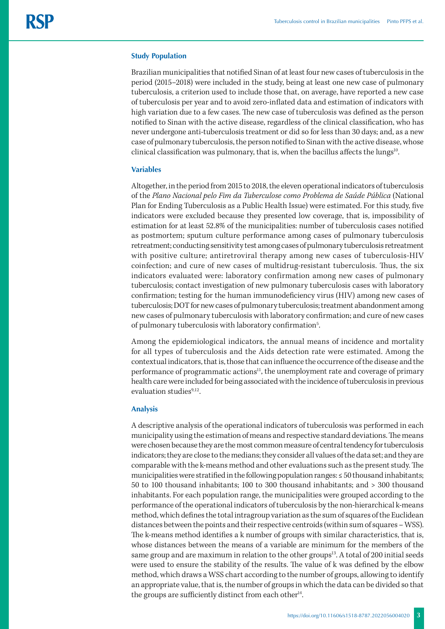### **Study Population**

Brazilian municipalities that notified Sinan of at least four new cases of tuberculosis in the period (2015–2018) were included in the study, being at least one new case of pulmonary tuberculosis, a criterion used to include those that, on average, have reported a new case of tuberculosis per year and to avoid zero-inflated data and estimation of indicators with high variation due to a few cases. The new case of tuberculosis was defined as the person notified to Sinan with the active disease, regardless of the clinical classification, who has never undergone anti-tuberculosis treatment or did so for less than 30 days; and, as a new case of pulmonary tuberculosis, the person notified to Sinan with the active disease, whose clinical classification was pulmonary, that is, when the bacillus affects the lungs $10$ .

#### **Variables**

Altogether, in the period from 2015 to 2018, the eleven operational indicators of tuberculosis of the *Plano Nacional pelo Fim da Tuberculose como Problema de Saúde Pública* (National Plan for Ending Tuberculosis as a Public Health Issue) were estimated. For this study, five indicators were excluded because they presented low coverage, that is, impossibility of estimation for at least 52.8% of the municipalities: number of tuberculosis cases notified as postmortem; sputum culture performance among cases of pulmonary tuberculosis retreatment; conducting sensitivity test among cases of pulmonary tuberculosis retreatment with positive culture; antiretroviral therapy among new cases of tuberculosis-HIV coinfection; and cure of new cases of multidrug-resistant tuberculosis. Thus, the six indicators evaluated were: laboratory confirmation among new cases of pulmonary tuberculosis; contact investigation of new pulmonary tuberculosis cases with laboratory confirmation; testing for the human immunodeficiency virus (HIV) among new cases of tuberculosis; DOT for new cases of pulmonary tuberculosis; treatment abandonment among new cases of pulmonary tuberculosis with laboratory confirmation; and cure of new cases of pulmonary tuberculosis with laboratory confirmation<sup>5</sup>. .

Among the epidemiological indicators, the annual means of incidence and mortality for all types of tuberculosis and the Aids detection rate were estimated. Among the contextual indicators, that is, those that can influence the occurrence of the disease and the performance of programmatic actions<sup>11</sup>, the unemployment rate and coverage of primary health care were included for being associated with the incidence of tuberculosis in previous evaluation studies $9,12$ .

## **Analysis**

A descriptive analysis of the operational indicators of tuberculosis was performed in each municipality using the estimation of means and respective standard deviations. The means were chosen because they are the most common measure of central tendency for tuberculosis indicators; they are close to the medians; they consider all values of the data set; and they are comparable with the k-means method and other evaluations such as the present study. The municipalities were stratified in the following population ranges: ≤ 50 thousand inhabitants; 50 to 100 thousand inhabitants; 100 to 300 thousand inhabitants; and > 300 thousand inhabitants. For each population range, the municipalities were grouped according to the performance of the operational indicators of tuberculosis by the non-hierarchical k-means method, which defines the total intragroup variation as the sum of squares of the Euclidean distances between the points and their respective centroids (within sum of squares – WSS). The k-means method identifies a k number of groups with similar characteristics, that is, whose distances between the means of a variable are minimum for the members of the same group and are maximum in relation to the other groups<sup>13</sup>. A total of 200 initial seeds were used to ensure the stability of the results. The value of k was defined by the elbow method, which draws a WSS chart according to the number of groups, allowing to identify an appropriate value, that is, the number of groups in which the data can be divided so that the groups are sufficiently distinct from each other<sup>14</sup>.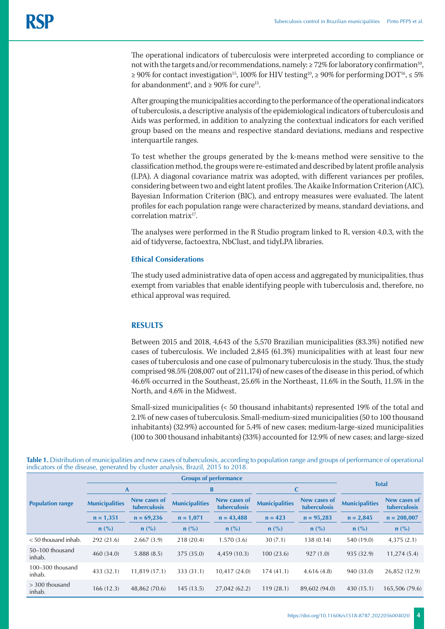The operational indicators of tuberculosis were interpreted according to compliance or not with the targets and/or recommendations, namely:  $\geq$  72% for laboratory confirmation<sup>10</sup>, ≥ 90% for contact investigation<sup>15</sup>, 100% for HIV testing<sup>10</sup>, ≥ 90% for performing DOT<sup>16</sup>, ≤ 5% for abandonment<sup>6</sup>, and  $\geq 90\%$  for cure<sup>15</sup>.

After grouping the municipalities according to the performance of the operational indicators of tuberculosis, a descriptive analysis of the epidemiological indicators of tuberculosis and Aids was performed, in addition to analyzing the contextual indicators for each verified group based on the means and respective standard deviations, medians and respective interquartile ranges.

To test whether the groups generated by the k-means method were sensitive to the classification method, the groups were re-estimated and described by latent profile analysis (LPA). A diagonal covariance matrix was adopted, with different variances per profiles, considering between two and eight latent profiles. The Akaike Information Criterion (AIC), Bayesian Information Criterion (BIC), and entropy measures were evaluated. The latent profiles for each population range were characterized by means, standard deviations, and correlation matrix<sup>17</sup>.

The analyses were performed in the R Studio program linked to R, version 4.0.3, with the aid of tidyverse, factoextra, NbClust, and tidyLPA libraries.

# **Ethical Considerations**

The study used administrative data of open access and aggregated by municipalities, thus exempt from variables that enable identifying people with tuberculosis and, therefore, no ethical approval was required.

# **RESULTS**

Between 2015 and 2018, 4,643 of the 5,570 Brazilian municipalities (83.3%) notified new cases of tuberculosis. We included 2,845 (61.3%) municipalities with at least four new cases of tuberculosis and one case of pulmonary tuberculosis in the study. Thus, the study comprised 98.5% (208,007 out of 211,174) of new cases of the disease in this period, of which 46.6% occurred in the Southeast, 25.6% in the Northeast, 11.6% in the South, 11.5% in the North, and 4.6% in the Midwest.

Small-sized municipalities (< 50 thousand inhabitants) represented 19% of the total and 2.1% of new cases of tuberculosis. Small-medium-sized municipalities (50 to 100 thousand inhabitants) (32.9%) accounted for 5.4% of new cases; medium-large-sized municipalities (100 to 300 thousand inhabitants) (33%) accounted for 12.9% of new cases; and large-sized

|                                | <b>Groups of performance</b> |                              |                       |                              |                       |                              |                       |                              |  |
|--------------------------------|------------------------------|------------------------------|-----------------------|------------------------------|-----------------------|------------------------------|-----------------------|------------------------------|--|
| <b>Population range</b>        | A                            |                              | B                     |                              | C                     |                              | <b>Total</b>          |                              |  |
|                                | <b>Municipalities</b>        | New cases of<br>tuberculosis | <b>Municipalities</b> | New cases of<br>tuberculosis | <b>Municipalities</b> | New cases of<br>tuberculosis | <b>Municipalities</b> | New cases of<br>tuberculosis |  |
|                                | $n = 1,351$                  | $n = 69,236$                 | $n = 1,071$           | $n = 43,488$                 | $n = 423$             | $n = 95,283$                 | $n = 2,845$           | $n = 208,007$                |  |
|                                | $n(^{0}/_{0})$               | $n$ (%)                      | $n$ (%)               | $n$ (%)                      | $n$ (%)               | $n$ (%)                      | $n$ (%)               | $n$ (%)                      |  |
| $<$ 50 thousand inhab.         | 292 (21.6)                   | 2.667(3.9)                   | 218 (20.4)            | 1.570(3.6)                   | 30(7.1)               | 138 (0.14)                   | 540 (19.0)            | 4,375(2.1)                   |  |
| 50-100 thousand<br>inhab.      | 460 (34.0)                   | 5.888(8.5)                   | 375 (35.0)            | 4,459(10.3)                  | 100(23.6)             | 927(1.0)                     | 935 (32.9)            | 11,274(5.4)                  |  |
| $100 - 300$ thousand<br>inhab. | 433 (32.1)                   | 11,819 (17.1)                | 333 (31.1)            | 10,417 (24.0)                | 174(41.1)             | 4.616(4.8)                   | 940 (33.0)            | 26,852 (12.9)                |  |
| $>$ 300 thousand<br>inhab.     | 166(12.3)                    | 48,862 (70.6)                | 145(13.5)             | 27,042 (62.2)                | 119(28.1)             | 89,602 (94.0)                | 430(15.1)             | 165,506 (79.6)               |  |

**Table 1.** Distribution of municipalities and new cases of tuberculosis, according to population range and groups of performance of operational indicators of the disease, generated by cluster analysis, Brazil, 2015 to 2018.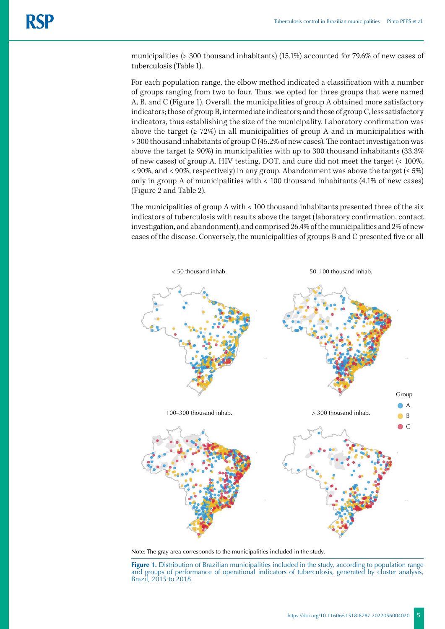municipalities (> 300 thousand inhabitants) (15.1%) accounted for 79.6% of new cases of tuberculosis (Table 1).

For each population range, the elbow method indicated a classification with a number of groups ranging from two to four. Thus, we opted for three groups that were named A, B, and C (Figure 1). Overall, the municipalities of group A obtained more satisfactory indicators; those of group B, intermediate indicators; and those of group C, less satisfactory indicators, thus establishing the size of the municipality. Laboratory confirmation was above the target ( $\geq 72\%$ ) in all municipalities of group A and in municipalities with > 300 thousand inhabitants of group C (45.2% of new cases). The contact investigation was above the target (≥ 90%) in municipalities with up to 300 thousand inhabitants (33.3% of new cases) of group A. HIV testing, DOT, and cure did not meet the target (< 100%,  $\leq$  90%, and  $\leq$  90%, respectively) in any group. Abandonment was above the target ( $\leq$  5%) only in group A of municipalities with < 100 thousand inhabitants (4.1% of new cases) (Figure 2 and Table 2).

The municipalities of group A with < 100 thousand inhabitants presented three of the six indicators of tuberculosis with results above the target (laboratory confirmation, contact investigation, and abandonment), and comprised 26.4% of the municipalities and 2% of new cases of the disease. Conversely, the municipalities of groups B and C presented five or all





**Figure 1.** Distribution of Brazilian municipalities included in the study, according to population range and groups of performance of operational indicators of tuberculosis, generated by cluster analysis, Brazil, 2015 to 2018.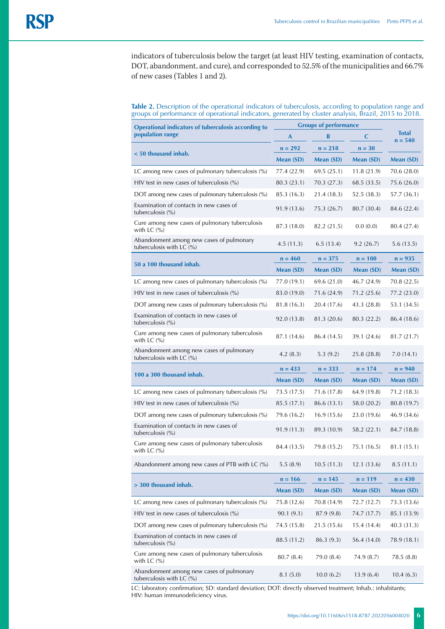indicators of tuberculosis below the target (at least HIV testing, examination of contacts, DOT, abandonment, and cure), and corresponded to 52.5% of the municipalities and 66.7% of new cases (Tables 1 and 2).

## **Table 2.** Description of the operational indicators of tuberculosis, according to population range and groups of performance of operational indicators, generated by cluster analysis, Brazil, 2015 to 2018.

| Operational indicators of tuberculosis according to                                  | <b>Groups of performance</b> |             |             |                           |
|--------------------------------------------------------------------------------------|------------------------------|-------------|-------------|---------------------------|
| population range                                                                     | A                            | В           | C           | <b>Total</b><br>$n = 540$ |
| < 50 thousand inhab.                                                                 | $n = 292$                    | $n = 218$   | $n = 30$    |                           |
|                                                                                      | Mean (SD)                    | Mean (SD)   | Mean (SD)   | Mean (SD)                 |
| LC among new cases of pulmonary tuberculosis $(\%)$                                  | 77.4 (22.9)                  | 69.5(25.1)  | 11.8(21.9)  | 70.6 (28.0)               |
| HIV test in new cases of tuberculosis $\frac{9}{6}$                                  | 80.3 (23.1)                  | 70.3 (27.3) | 68.5 (33.5) | 75.6 (26.0)               |
| DOT among new cases of pulmonary tuberculosis (%)                                    | 85.3 (16.3)                  | 21.4 (18.3) | 52.5(38.3)  | 57.7 (36.1)               |
| Examination of contacts in new cases of<br>tuberculosis (%)                          | 91.9 (13.6)                  | 75.3 (26.7) | 80.7 (30.4) | 84.6 (22.4)               |
| Cure among new cases of pulmonary tuberculosis<br>with LC $\left(\frac{9}{6}\right)$ | 87.3 (18.0)                  | 82.2 (21.5) | 0.0(0.0)    | 80.4 (27.4)               |
| Abandonment among new cases of pulmonary<br>tuberculosis with LC (%)                 | 4.5 (11.3)                   | 6.5(13.4)   | 9.2(26.7)   | 5.6(13.5)                 |
| 50 a 100 thousand inhab.                                                             | $n = 460$                    | $n = 375$   | $n = 100$   | $n = 935$                 |
|                                                                                      | Mean (SD)                    | Mean (SD)   | Mean (SD)   | Mean (SD)                 |
| LC among new cases of pulmonary tuberculosis (%)                                     | 77.0 (19.1)                  | 69.6 (21.0) | 46.7 (24.9) | 70.8 (22.5)               |
| HIV test in new cases of tuberculosis $(\% )$                                        | 83.0 (19.0)                  | 71.6 (24.9) | 71.2(25.6)  | 77.2 (23.0)               |
| DOT among new cases of pulmonary tuberculosis (%)                                    | 81.8 (16.3)                  | 20.4 (17.6) | 43.3 (28.8) | 53.1 (34.5)               |
| Examination of contacts in new cases of<br>tuberculosis (%)                          | 92.0 (13.8)                  | 81.3 (20.6) | 80.3 (22.2) | 86.4 (18.6)               |
| Cure among new cases of pulmonary tuberculosis<br>with LC $\left(\%\right)$          | 87.1 (14.6)                  | 86.4 (14.5) | 39.1 (24.6) | 81.7 (21.7)               |
| Abandonment among new cases of pulmonary<br>tuberculosis with LC (%)                 | 4.2(8.3)                     | 5.3(9.2)    | 25.8 (28.8) | 7.0(14.1)                 |
|                                                                                      | $n = 433$                    | $n = 333$   | $n = 174$   | $n = 940$                 |
| 100 a 300 thousand inhab.                                                            | Mean (SD)                    | Mean (SD)   | Mean (SD)   | Mean (SD)                 |
| LC among new cases of pulmonary tuberculosis (%)                                     | 73.5 (17.5)                  | 71.6 (17.8) | 64.9 (19.8) | 71.2(18.3)                |
| $HIV$ test in new cases of tuberculosis $(\%)$                                       | 85.5 (17.1)                  | 86.6 (13.1) | 58.0 (20.2) | 80.8 (19.7)               |
| DOT among new cases of pulmonary tuberculosis (%)                                    | 79.6 (16.2)                  | 16.9(15.6)  | 23.0 (19.6) | 46.9 (34.6)               |
| Examination of contacts in new cases of<br>tuberculosis (%)                          | 91.9 (11.3)                  | 89.3 (10.9) | 58.2 (22.1) | 84.7 (18.8)               |
| Cure among new cases of pulmonary tuberculosis<br>with LC $(%)$                      | 84.4 (13.5)                  | 79.8 (15.2) | 75.1 (16.5) | 81.1 (15.1)               |
| Abandonment among new cases of PTB with LC (%)                                       | 5.5(8.9)                     | 10.5(11.3)  | 12.1(13.6)  | 8.5(11.1)                 |
| > 300 thousand inhab.                                                                | $n = 166$                    | $n = 145$   | $n = 119$   | $n = 430$                 |
|                                                                                      | Mean (SD)                    | Mean (SD)   | Mean (SD)   | Mean (SD)                 |
| LC among new cases of pulmonary tuberculosis $(\%)$                                  | 75.8 (12.6)                  | 70.8 (14.9) | 72.7 (12.7) | 73.3 (13.6)               |
| HIV test in new cases of tuberculosis $(\%)$                                         | 90.1(9.1)                    | 87.9 (9.8)  | 74.7 (17.7) | 85.1 (13.9)               |
| DOT among new cases of pulmonary tuberculosis (%)                                    | 74.5 (15.8)                  | 21.5 (15.6) | 15.4(14.4)  | 40.3 (31.3)               |
| Examination of contacts in new cases of<br>tuberculosis $(\%)$                       | 88.5 (11.2)                  | 86.3 (9.3)  | 56.4 (14.0) | 78.9 (18.1)               |
| Cure among new cases of pulmonary tuberculosis<br>with LC $(\% )$                    | 80.7(8.4)                    | 79.0 (8.4)  | 74.9 (8.7)  | 78.5 (8.8)                |
| Abandonment among new cases of pulmonary<br>tuberculosis with LC $(\%)$              | 8.1(5.0)                     | 10.0(6.2)   | 13.9(6.4)   | 10.4(6.3)                 |

LC: laboratory confirmation; SD: standard deviation; DOT: directly observed treatment; Inhab.: inhabitants; HIV: human immunodeficiency virus.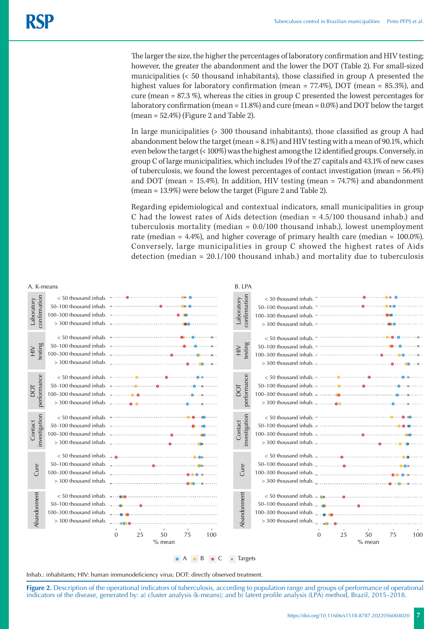The larger the size, the higher the percentages of laboratory confirmation and HIV testing; however, the greater the abandonment and the lower the DOT (Table 2). For small-sized municipalities (< 50 thousand inhabitants), those classified in group A presented the highest values for laboratory confirmation (mean = 77.4%), DOT (mean = 85.3%), and cure (mean = 87.3 %), whereas the cities in group C presented the lowest percentages for laboratory confirmation (mean = 11.8%) and cure (mean = 0.0%) and DOT below the target  $(mean = 52.4\%)$  (Figure 2 and Table 2).

In large municipalities (> 300 thousand inhabitants), those classified as group A had abandonment below the target (mean = 8.1%) and HIV testing with a mean of 90.1%, which even below the target (< 100%) was the highest among the 12 identified groups. Conversely, in group C of large municipalities, which includes 19 of the 27 capitals and 43.1% of new cases of tuberculosis, we found the lowest percentages of contact investigation (mean = 56.4%) and DOT (mean  $= 15.4\%$ ). In addition, HIV testing (mean  $= 74.7\%$ ) and abandonment (mean = 13.9%) were below the target (Figure 2 and Table 2).

Regarding epidemiological and contextual indicators, small municipalities in group C had the lowest rates of Aids detection (median = 4.5/100 thousand inhab.) and tuberculosis mortality (median = 0.0/100 thousand inhab.), lowest unemployment rate (median = 4.4%), and higher coverage of primary health care (median = 100.0%). Conversely, large municipalities in group C showed the highest rates of Aids detection (median = 20.1/100 thousand inhab.) and mortality due to tuberculosis



Inhab.: inhabitants; HIV: human immunodeficiency virus; DOT: directly observed treatment.

**Figure 2.** Description of the operational indicators of tuberculosis, according to population range and groups of performance of operational indicators of the disease, generated by: a) cluster analysis (k-means); and b) latent profile analysis (LPA) method, Brazil, 2015–2018.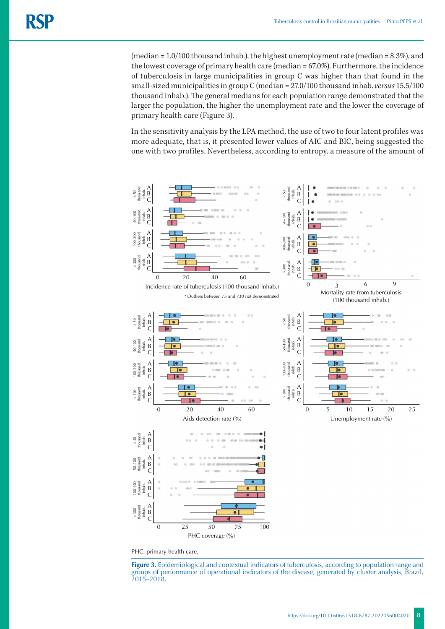(median =  $1.0/100$  thousand inhab.), the highest unemployment rate (median =  $8.3\%$ ), and the lowest coverage of primary health care (median = 67.0%). Furthermore, the incidence of tuberculosis in large municipalities in group C was higher than that found in the small-sized municipalities in group C (median = 27.0/100 thousand inhab. *versus* 15.5/100 thousand inhab.). The general medians for each population range demonstrated that the larger the population, the higher the unemployment rate and the lower the coverage of primary health care (Figure 3).

In the sensitivity analysis by the LPA method, the use of two to four latent profiles was more adequate, that is, it presented lower values of AIC and BIC, being suggested the one with two profiles. Nevertheless, according to entropy, a measure of the amount of



PHC: primary health care.

**Figure 3.** Epidemiological and contextual indicators of tuberculosis, according to population range and groups of performance of operational indicators of the disease, generated by cluster analysis, Brazil,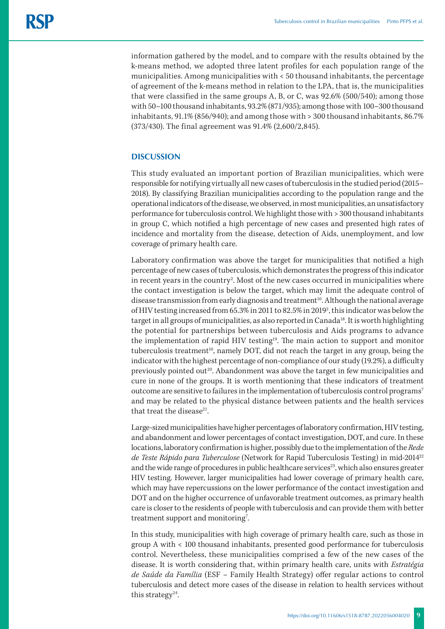information gathered by the model, and to compare with the results obtained by the k-means method, we adopted three latent profiles for each population range of the municipalities. Among municipalities with < 50 thousand inhabitants, the percentage of agreement of the k-means method in relation to the LPA, that is, the municipalities that were classified in the same groups A, B, or C, was 92.6% (500/540); among those with 50–100 thousand inhabitants, 93.2% (871/935); among those with 100–300 thousand inhabitants, 91.1% (856/940); and among those with > 300 thousand inhabitants, 86.7% (373/430). The final agreement was 91.4% (2,600/2,845).

# **DISCUSSION**

This study evaluated an important portion of Brazilian municipalities, which were responsible for notifying virtually all new cases of tuberculosis in the studied period (2015– 2018). By classifying Brazilian municipalities according to the population range and the operational indicators of the disease, we observed, in most municipalities, an unsatisfactory performance for tuberculosis control. We highlight those with > 300 thousand inhabitants in group C, which notified a high percentage of new cases and presented high rates of incidence and mortality from the disease, detection of Aids, unemployment, and low coverage of primary health care.

Laboratory confirmation was above the target for municipalities that notified a high percentage of new cases of tuberculosis, which demonstrates the progress of this indicator in recent years in the country<sup>2</sup>. Most of the new cases occurred in municipalities where the contact investigation is below the target, which may limit the adequate control of disease transmission from early diagnosis and treatment<sup>10</sup>. Although the national average of HIV testing increased from 65.3% in 2011 to 82.5% in 2019<sup>2</sup>, this indicator was below the target in all groups of municipalities, as also reported in Canada<sup>18</sup>. It is worth highlighting the potential for partnerships between tuberculosis and Aids programs to advance the implementation of rapid HIV testing<sup>19</sup>. The main action to support and monitor tuberculosis treatment<sup>10</sup>, namely DOT, did not reach the target in any group, being the indicator with the highest percentage of non-compliance of our study (19.2%), a difficulty previously pointed out<sup>20</sup>. Abandonment was above the target in few municipalities and cure in none of the groups. It is worth mentioning that these indicators of treatment outcome are sensitive to failures in the implementation of tuberculosis control programs<sup>7</sup> and may be related to the physical distance between patients and the health services that treat the disease<sup>21</sup>.

Large-sized municipalities have higher percentages of laboratory confirmation, HIV testing, and abandonment and lower percentages of contact investigation, DOT, and cure. In these locations, laboratory confirmation is higher, possibly due to the implementation of the *Rede de Teste Rápido para Tuberculose* (Network for Rapid Tuberculosis Testing) in mid-201422 and the wide range of procedures in public healthcare services<sup>23</sup>, which also ensures greater HIV testing. However, larger municipalities had lower coverage of primary health care, which may have repercussions on the lower performance of the contact investigation and DOT and on the higher occurrence of unfavorable treatment outcomes, as primary health care is closer to the residents of people with tuberculosis and can provide them with better treatment support and monitoring<sup>7</sup>. .

In this study, municipalities with high coverage of primary health care, such as those in group A with < 100 thousand inhabitants, presented good performance for tuberculosis control. Nevertheless, these municipalities comprised a few of the new cases of the disease. It is worth considering that, within primary health care, units with *Estratégia de Saúde da Família* (ESF – Family Health Strategy) offer regular actions to control tuberculosis and detect more cases of the disease in relation to health services without this strategy<sup>24</sup>.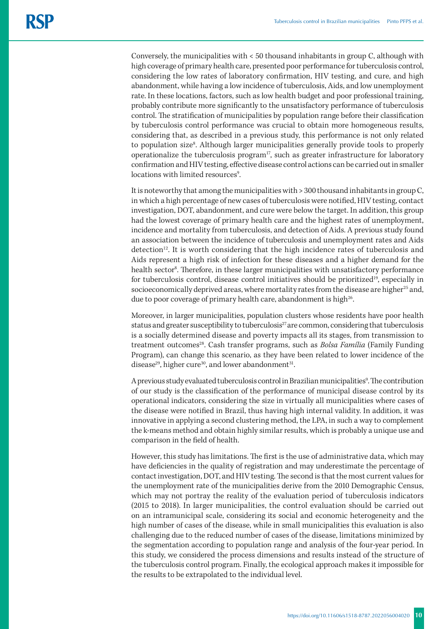Conversely, the municipalities with < 50 thousand inhabitants in group C, although with high coverage of primary health care, presented poor performance for tuberculosis control, considering the low rates of laboratory confirmation, HIV testing, and cure, and high abandonment, while having a low incidence of tuberculosis, Aids, and low unemployment rate. In these locations, factors, such as low health budget and poor professional training, probably contribute more significantly to the unsatisfactory performance of tuberculosis control. The stratification of municipalities by population range before their classification by tuberculosis control performance was crucial to obtain more homogeneous results, considering that, as described in a previous study, this performance is not only related to population size<sup>8</sup>. Although larger municipalities generally provide tools to properly operationalize the tuberculosis program<sup>17</sup>, such as greater infrastructure for laboratory confirmation and HIV testing, effective disease control actions can be carried out in smaller locations with limited resources<sup>9</sup>. .

It is noteworthy that among the municipalities with > 300 thousand inhabitants in group C, in which a high percentage of new cases of tuberculosis were notified, HIV testing, contact investigation, DOT, abandonment, and cure were below the target. In addition, this group had the lowest coverage of primary health care and the highest rates of unemployment, incidence and mortality from tuberculosis, and detection of Aids. A previous study found an association between the incidence of tuberculosis and unemployment rates and Aids detection<sup>12</sup>. It is worth considering that the high incidence rates of tuberculosis and Aids represent a high risk of infection for these diseases and a higher demand for the health sector<sup>8</sup>. Therefore, in these larger municipalities with unsatisfactory performance for tuberculosis control, disease control initiatives should be prioritized<sup>19</sup>, especially in socioeconomically deprived areas, where mortality rates from the disease are higher<sup>25</sup> and, due to poor coverage of primary health care, abandonment is high<sup>26</sup>.

Moreover, in larger municipalities, population clusters whose residents have poor health status and greater susceptibility to tuberculosis<sup>27</sup> are common, considering that tuberculosis is a socially determined disease and poverty impacts all its stages, from transmission to treatment outcomes28. Cash transfer programs, such as *Bolsa Família* (Family Funding Program), can change this scenario, as they have been related to lower incidence of the disease<sup>29</sup>, higher cure<sup>30</sup>, and lower abandonment<sup>31</sup>.

A previous study evaluated tuberculosis control in Brazilian municipalities<sup>9</sup>. The contribution of our study is the classification of the performance of municipal disease control by its operational indicators, considering the size in virtually all municipalities where cases of the disease were notified in Brazil, thus having high internal validity. In addition, it was innovative in applying a second clustering method, the LPA, in such a way to complement the k-means method and obtain highly similar results, which is probably a unique use and comparison in the field of health.

However, this study has limitations. The first is the use of administrative data, which may have deficiencies in the quality of registration and may underestimate the percentage of contact investigation, DOT, and HIV testing. The second is that the most current values for the unemployment rate of the municipalities derive from the 2010 Demographic Census, which may not portray the reality of the evaluation period of tuberculosis indicators (2015 to 2018). In larger municipalities, the control evaluation should be carried out on an intramunicipal scale, considering its social and economic heterogeneity and the high number of cases of the disease, while in small municipalities this evaluation is also challenging due to the reduced number of cases of the disease, limitations minimized by the segmentation according to population range and analysis of the four-year period. In this study, we considered the process dimensions and results instead of the structure of the tuberculosis control program. Finally, the ecological approach makes it impossible for the results to be extrapolated to the individual level.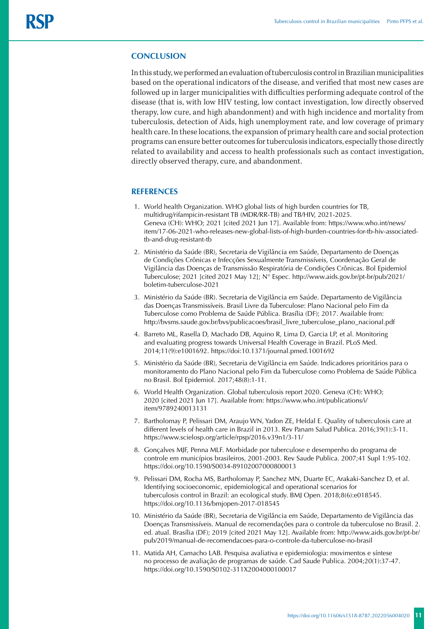## **CONCLUSION**

In this study, we performed an evaluation of tuberculosis control in Brazilian municipalities based on the operational indicators of the disease, and verified that most new cases are followed up in larger municipalities with difficulties performing adequate control of the disease (that is, with low HIV testing, low contact investigation, low directly observed therapy, low cure, and high abandonment) and with high incidence and mortality from tuberculosis, detection of Aids, high unemployment rate, and low coverage of primary health care. In these locations, the expansion of primary health care and social protection programs can ensure better outcomes for tuberculosis indicators, especially those directly related to availability and access to health professionals such as contact investigation, directly observed therapy, cure, and abandonment.

### **REFERENCES**

- 1. World health Organization. WHO global lists of high burden countries for TB, multidrug/rifampicin-resistant TB (MDR/RR-TB) and TB/HIV, 2021-2025. Geneva (CH): WHO; 2021 [cited 2021 Jun 17]. Available from: https://www.who.int/news/ item/17-06-2021-who-releases-new-global-lists-of-high-burden-countries-for-tb-hiv-associatedtb-and-drug-resistant-tb
- 2. Ministério da Saúde (BR), Secretaria de Vigilância em Saúde, Departamento de Doenças de Condições Crônicas e Infecções Sexualmente Transmissíveis, Coordenação Geral de Vigilância das Doenças de Transmissão Respiratória de Condições Crônicas. Bol Epidemiol Tuberculose; 2021 [cited 2021 May 12]; N° Espec. [http://www.aids.gov.br/pt-br/pub/2021/](http://www.aids.gov.br/pt-br/pub/2021/boletim-tuberculose-2021) [boletim-tuberculose-2021](http://www.aids.gov.br/pt-br/pub/2021/boletim-tuberculose-2021)
- 3. Ministério da Saúde (BR). Secretaria de Vigilância em Saúde. Departamento de Vigilância das Doenças Transmissíveis. Brasil Livre da Tuberculose: Plano Nacional pelo Fim da Tuberculose como Problema de Saúde Pública. Brasília (DF); 2017. Available from: http://bvsms.saude.gov.br/bvs/publicacoes/brasil\_livre\_tuberculose\_plano\_nacional.pdf
- 4. Barreto ML, Rasella D, Machado DB, Aquino R, Lima D, Garcia LP, et al. Monitoring and evaluating progress towards Universal Health Coverage in Brazil. PLoS Med. 2014;11(9):e1001692. https://doi:10.1371/journal.pmed.1001692
- 5. Ministério da Saúde (BR), Secretaria de Vigilância em Saúde. Indicadores prioritários para o monitoramento do Plano Nacional pelo Fim da Tuberculose como Problema de Saúde Pública no Brasil. Bol Epidemiol. 2017;48(8):1-11.
- 6. World Health Organization. Global tuberculosis report 2020. Geneva (CH): WHO; 2020 [cited 2021 Jun 17]. Available from: https://www.who.int/publications/i/ item/9789240013131
- 7. Bartholomay P, Pelissari DM, Araujo WN, Yadon ZE, Heldal E. Quality of tuberculosis care at different levels of health care in Brazil in 2013. Rev Panam Salud Publica. 2016;39(1):3-11. <https://www.scielosp.org/article/rpsp/2016.v39n1/3-11/>
- 8. Gonçalves MJF, Penna MLF. Morbidade por tuberculose e desempenho do programa de controle em municípios brasileiros, 2001-2003. Rev Saude Publica. 2007;41 Supl 1:95-102. <https://doi.org/10.1590/S0034-89102007000800013>
- 9. Pelissari DM, Rocha MS, Bartholomay P, Sanchez MN, Duarte EC, Arakaki-Sanchez D, et al. Identifying socioeconomic, epidemiological and operational scenarios for tuberculosis control in Brazil: an ecological study. BMJ Open. 2018;8(6):e018545. <https://doi.org/10.1136/bmjopen-2017-018545>
- 10. Ministério da Saúde (BR), Secretaria de Vigilância em Saúde, Departamento de Vigilância das Doenças Transmissíveis. Manual de recomendações para o controle da tuberculose no Brasil. 2. ed. atual. Brasília (DF); 2019 [cited 2021 May 12]. Available from: http://www.aids.gov.br/pt-br/ pub/2019/manual-de-recomendacoes-para-o-controle-da-tuberculose-no-brasil
- 11. Matida AH, Camacho LAB. Pesquisa avaliativa e epidemiologia: movimentos e síntese no processo de avaliação de programas de saúde. Cad Saude Publica. 2004;20(1):37-47. https://doi.org/10.1590/S0102-311X2004000100017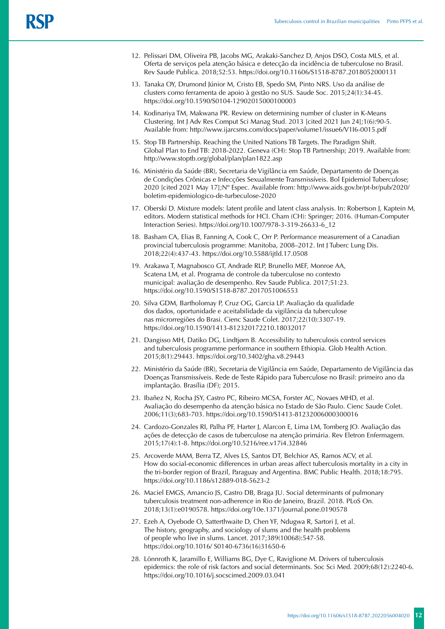- 12. [Pelissari DM, Oliveira PB, Jacobs MG](http://lattes.cnpq.br/6649326645434099), Arakaki-Sanchez D, Anjos DSO, Costa MLS, et al. Oferta de serviços pela atenção básica e detecção da incidência de tuberculose no Brasil. Rev Saude Publica. 2018;52:53. https://doi.org/10.11606/S1518-8787.2018052000131
- 13. Tanaka OY, Drumond Júnior M, Cristo EB, Spedo SM, Pinto NRS. Uso da análise de clusters como ferramenta de apoio à gestão no SUS. Saude Soc. 2015;24(1):34-45. <https://doi.org/10.1590/S0104-12902015000100003>
- 14. Kodinariya TM, Makwana PR. Review on determining number of cluster in K-Means Clustering. Int J Adv Res Comput Sci Manag Stud. 2013 [cited 2021 Jun 24];1(6):90-5. Available from: http://www.ijarcsms.com/docs/paper/volume1/issue6/V1I6-0015.pdf
- 15. Stop TB Partnership. Reaching the United Nations TB Targets. The Paradigm Shift. Global Plan to End TB: 2018-2022. Geneva (CH): Stop TB Partnership; 2019. Available from: http://www.stoptb.org/global/plan/plan1822.asp
- 16. Ministério da Saúde (BR), Secretaria de Vigilância em Saúde, Departamento de Doenças de Condições Crônicas e Infecções Sexualmente Transmissíveis. Bol Epidemiol Tuberculose; 2020 [cited 2021 May 17];Nº Espec. Available from: http://www.aids.gov.br/pt-br/pub/2020/ boletim-epidemiologico-de-turbeculose-2020
- 17. Oberski D. Mixture models: latent profile and latent class analysis. In: Robertson J, Kaptein M, editors. Modern statistical methods for HCI. Cham (CH): Springer; 2016. [\(Human-Computer](about:blank)  [Interaction Series\). https://doi.org/10.1007/978-3-319-26633-6\\_12](about:blank)
- 18. Basham CA, Elias B, Fanning A, Cook C, Orr P. Performance measurement of a Canadian provincial tuberculosis programme: Manitoba, 2008–2012. Int J Tuberc Lung Dis. 2018;22(4):437-43. https://doi.org/10.5588/ijtld.17.0508
- 19. Arakawa T, Magnabosco GT, Andrade RLP, Brunello MEF, Monroe AA, Scatena LM, et al. Programa de controle da tuberculose no contexto municipal: avaliação de desempenho. Rev Saude Publica. 2017;51:23. <https://doi.org/10.1590/S1518-8787.2017051006553>
- 20. Silva GDM, Bartholomay P, Cruz OG, Garcia LP. Avaliação da qualidade dos dados, oportunidade e aceitabilidade da vigilância da tuberculose nas microrregiões do Brasi. Cienc Saude Colet. 2017;22(10):3307-19. <https://doi.org/10.1590/1413-812320172210.18032017>
- 21. Dangisso MH, Datiko DG, Lindtjørn B. Accessibility to tuberculosis control services and tuberculosis programme performance in southern Ethiopia. Glob Health Action. 2015;8(1):29443. https://doi.org/10.3402/gha.v8.29443
- 22. Ministério da Saúde (BR), Secretaria de Vigilância em Saúde, Departamento de Vigilância das Doenças Transmissíveis. Rede de Teste Rápido para Tuberculose no Brasil: primeiro ano da implantação. Brasília (DF); 2015.
- 23. Ibañez N, Rocha JSY, Castro PC, Ribeiro MCSA, Forster AC, Novaes MHD, et al. Avaliação do desempenho da atenção básica no Estado de São Paulo. Cienc Saude Colet. 2006;11(3);683-703. <https://doi.org/10.1590/S1413-81232006000300016>
- 24. Cardozo-Gonzales RI, Palha PF, Harter J, Alarcon E, Lima LM, Tomberg JO. Avaliação das ações de detecção de casos de tuberculose na atenção primária. Rev Eletron Enfermagem. 2015;17(4):1-8. https://doi.org/10.5216/ree.v17i4.32846
- 25. Arcoverde MAM, Berra TZ, Alves LS, Santos DT, Belchior AS, Ramos ACV, et al. How do social-economic differences in urban areas affect tuberculosis mortality in a city in the tri-border region of Brazil, Paraguay and Argentina. BMC Public Health. 2018;18:795. <https://doi.org/10.1186/s12889-018-5623-2>
- 26. Maciel EMGS, Amancio JS, Castro DB, Braga JU. Social determinants of pulmonary tuberculosis treatment non-adherence in Rio de Janeiro, Brazil. 2018. PLoS On. 2018;13(1):e0190578.<https://doi.org/10e.1371/journal.pone.0190578>
- 27. Ezeh A, Oyebode O, Satterthwaite D, Chen YF, Ndugwa R, Sartori J, et al. The history, geography, and sociology of slums and the health problems of people who live in slums. Lancet. 2017;389(10068):547-58. https://doi.org/10.1016/ S0140-6736(16)31650-6
- 28. [Lönnroth](https://pubmed.ncbi.nlm.nih.gov/?sort=date&term=L%C3%B6nnroth+K&cauthor_id=19394122) K, Jaramillo E, Williams BG, Dye C, Raviglione M. Drivers of tuberculosis epidemics: the role of risk factors and social determinants. Soc Sci Med. 2009;68(12):2240-6. https://doi.org/10.1016/j.socscimed.2009.03.041